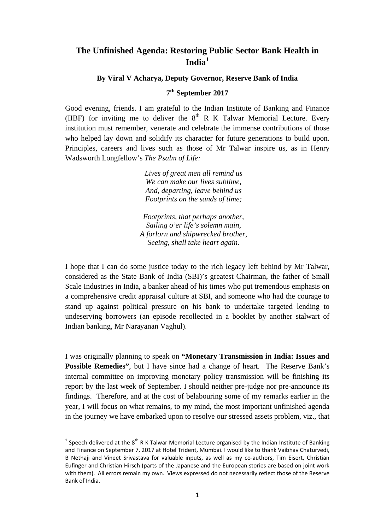# **The Unfinished Agenda: Restoring Public Sector Bank Health in India[1](#page-0-0)**

### **By Viral V Acharya, Deputy Governor, Reserve Bank of India**

## **7th September 2017**

Good evening, friends. I am grateful to the Indian Institute of Banking and Finance (IIBF) for inviting me to deliver the  $8<sup>th</sup>$  R K Talwar Memorial Lecture. Every institution must remember, venerate and celebrate the immense contributions of those who helped lay down and solidify its character for future generations to build upon. Principles, careers and lives such as those of Mr Talwar inspire us, as in Henry Wadsworth Longfellow's *The Psalm of Life:*

> *Lives of great men all remind us We can make our lives sublime, And, departing, leave behind us Footprints on the sands of time;*

*Footprints, that perhaps another, Sailing o'er life's solemn main, A forlorn and shipwrecked brother, Seeing, shall take heart again.*

I hope that I can do some justice today to the rich legacy left behind by Mr Talwar, considered as the State Bank of India (SBI)'s greatest Chairman, the father of Small Scale Industries in India, a banker ahead of his times who put tremendous emphasis on a comprehensive credit appraisal culture at SBI, and someone who had the courage to stand up against political pressure on his bank to undertake targeted lending to undeserving borrowers (an episode recollected in a booklet by another stalwart of Indian banking, Mr Narayanan Vaghul).

I was originally planning to speak on **"Monetary Transmission in India: Issues and Possible Remedies"**, but I have since had a change of heart. The Reserve Bank's internal committee on improving monetary policy transmission will be finishing its report by the last week of September. I should neither pre-judge nor pre-announce its findings. Therefore, and at the cost of belabouring some of my remarks earlier in the year, I will focus on what remains, to my mind, the most important unfinished agenda in the journey we have embarked upon to resolve our stressed assets problem, viz., that

<span id="page-0-0"></span><sup>&</sup>lt;sup>1</sup> Speech delivered at the 8<sup>th</sup> R K Talwar Memorial Lecture organised by the Indian Institute of Banking and Finance on September 7, 2017 at Hotel Trident, Mumbai. I would like to thank Vaibhav Chaturvedi, B Nethaji and Vineet Srivastava for valuable inputs, as well as my co-authors, Tim Eisert, Christian Eufinger and Christian Hirsch (parts of the Japanese and the European stories are based on joint work with them). All errors remain my own. Views expressed do not necessarily reflect those of the Reserve Bank of India.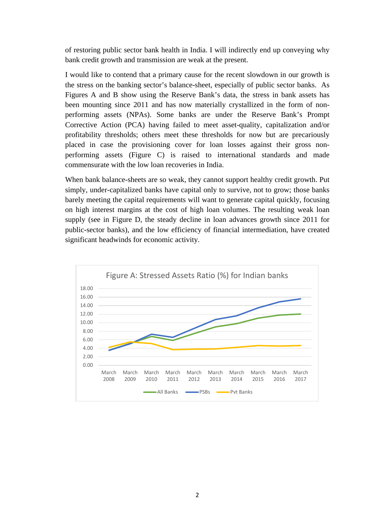of restoring public sector bank health in India. I will indirectly end up conveying why bank credit growth and transmission are weak at the present.

I would like to contend that a primary cause for the recent slowdown in our growth is the stress on the banking sector's balance-sheet, especially of public sector banks. As Figures A and B show using the Reserve Bank's data, the stress in bank assets has been mounting since 2011 and has now materially crystallized in the form of nonperforming assets (NPAs). Some banks are under the Reserve Bank's Prompt Corrective Action (PCA) having failed to meet asset-quality, capitalization and/or profitability thresholds; others meet these thresholds for now but are precariously placed in case the provisioning cover for loan losses against their gross nonperforming assets (Figure C) is raised to international standards and made commensurate with the low loan recoveries in India.

When bank balance-sheets are so weak, they cannot support healthy credit growth. Put simply, under-capitalized banks have capital only to survive, not to grow; those banks barely meeting the capital requirements will want to generate capital quickly, focusing on high interest margins at the cost of high loan volumes. The resulting weak loan supply (see in Figure D, the steady decline in loan advances growth since 2011 for public-sector banks), and the low efficiency of financial intermediation, have created significant headwinds for economic activity.

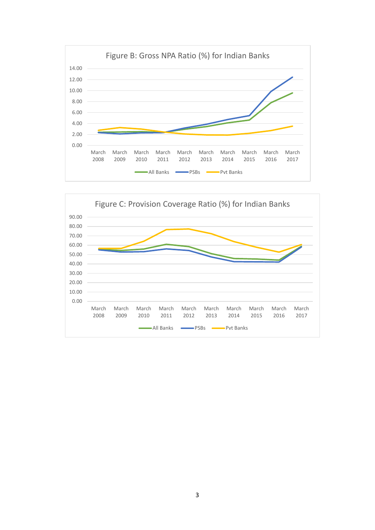

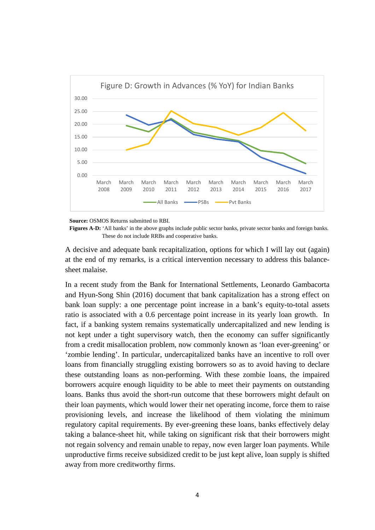

 **Source:** OSMOS Returns submitted to RBI.

**Figures A-D:** 'All banks' in the above graphs include public sector banks, private sector banks and foreign banks. These do not include RRBs and cooperative banks.

A decisive and adequate bank recapitalization, options for which I will lay out (again) at the end of my remarks, is a critical intervention necessary to address this balancesheet malaise.

In a recent study from the Bank for International Settlements, Leonardo Gambacorta and Hyun-Song Shin [\(2016\)](#page-13-0) document that bank capitalization has a strong effect on bank loan supply: a one percentage point increase in a bank's equity-to-total assets ratio is associated with a 0.6 percentage point increase in its yearly loan growth. In fact, if a banking system remains systematically undercapitalized and new lending is not kept under a tight supervisory watch, then the economy can suffer significantly from a credit misallocation problem, now commonly known as 'loan ever-greening' or 'zombie lending'. In particular, undercapitalized banks have an incentive to roll over loans from financially struggling existing borrowers so as to avoid having to declare these outstanding loans as non-performing. With these zombie loans, the impaired borrowers acquire enough liquidity to be able to meet their payments on outstanding loans. Banks thus avoid the short-run outcome that these borrowers might default on their loan payments, which would lower their net operating income, force them to raise provisioning levels, and increase the likelihood of them violating the minimum regulatory capital requirements. By ever-greening these loans, banks effectively delay taking a balance-sheet hit, while taking on significant risk that their borrowers might not regain solvency and remain unable to repay, now even larger loan payments. While unproductive firms receive subsidized credit to be just kept alive, loan supply is shifted away from more creditworthy firms.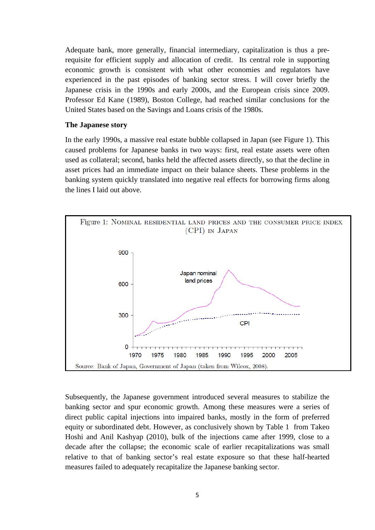Adequate bank, more generally, financial intermediary, capitalization is thus a prerequisite for efficient supply and allocation of credit. Its central role in supporting economic growth is consistent with what other economies and regulators have experienced in the past episodes of banking sector stress. I will cover briefly the Japanese crisis in the 1990s and early 2000s, and the European crisis since 2009. Professor Ed Kane (1989), Boston College, had reached similar conclusions for the United States based on the Savings and Loans crisis of the 1980s.

#### **The Japanese story**

In the early 1990s, a massive real estate bubble collapsed in Japan (see Figure 1). This caused problems for Japanese banks in two ways: first, real estate assets were often used as collateral; second, banks held the affected assets directly, so that the decline in asset prices had an immediate impact on their balance sheets. These problems in the banking system quickly translated into negative real effects for borrowing firms along the lines I laid out above.



Subsequently, the Japanese government introduced several measures to stabilize the banking sector and spur economic growth. Among these measures were a series of direct public capital injections into impaired banks, mostly in the form of preferred equity or subordinated debt. However, as conclusively shown by Table 1 from Takeo Hoshi and Anil Kashyap [\(2010\)](#page-13-1), bulk of the injections came after 1999, close to a decade after the collapse; the economic scale of earlier recapitalizations was small relative to that of banking sector's real estate exposure so that these half-hearted measures failed to adequately recapitalize the Japanese banking sector.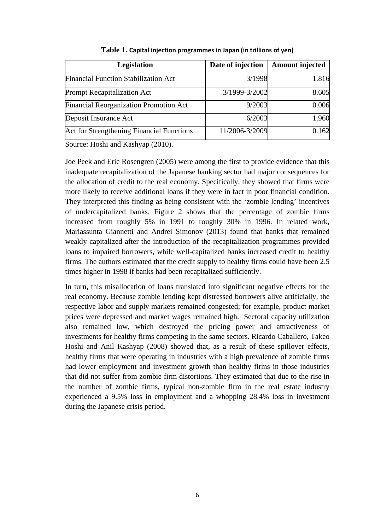| <b>Legislation</b>                            | Date of injection | <b>Amount injected</b> |
|-----------------------------------------------|-------------------|------------------------|
| <b>Financial Function Stabilization Act</b>   | 3/1998            | 1.816                  |
| <b>Prompt Recapitalization Act</b>            | 3/1999-3/2002     | 8.605                  |
| <b>Financial Reorganization Promotion Act</b> | 9/2003            | 0.006                  |
| Deposit Insurance Act                         | 6/2003            | 1.960                  |
| Act for Strengthening Financial Functions     | 11/2006-3/2009    | 0.162                  |

**Table 1. Capital injection programmes in Japan (in trillions of yen)**

Source: Hoshi and Kashyap [\(2010\)](#page-13-1).

Joe Peek and Eric Rosengren [\(2005\)](#page-13-2) were among the first to provide evidence that this inadequate recapitalization of the Japanese banking sector had major consequences for the allocation of credit to the real economy. Specifically, they showed that firms were more likely to receive additional loans if they were in fact in poor financial condition. They interpreted this finding as being consistent with the 'zombie lending' incentives of undercapitalized banks. Figure 2 shows that the percentage of zombie firms increased from roughly 5% in 1991 to roughly 30% in 1996. In related work, Mariassunta Giannetti and Andrei Simonov [\(2013\)](#page-13-3) found that banks that remained weakly capitalized after the introduction of the recapitalization programmes provided loans to impaired borrowers, while well-capitalized banks increased credit to healthy firms. The authors estimated that the credit supply to healthy firms could have been 2.5 times higher in 1998 if banks had been recapitalized sufficiently.

In turn, this misallocation of loans translated into significant negative effects for the real economy. Because zombie lending kept distressed borrowers alive artificially, the respective labor and supply markets remained congested; for example, product market prices were depressed and market wages remained high. Sectoral capacity utilization also remained low, which destroyed the pricing power and attractiveness of investments for healthy firms competing in the same sectors. Ricardo Caballero, Takeo Hoshi and Anil Kashyap (2008) showed that, as a result of these spillover effects, healthy firms that were operating in industries with a high prevalence of zombie firms had lower employment and investment growth than healthy firms in those industries that did not suffer from zombie firm distortions. They estimated that due to the rise in the number of zombie firms, typical non-zombie firm in the real estate industry experienced a 9.5% loss in employment and a whopping 28.4% loss in investment during the Japanese crisis period.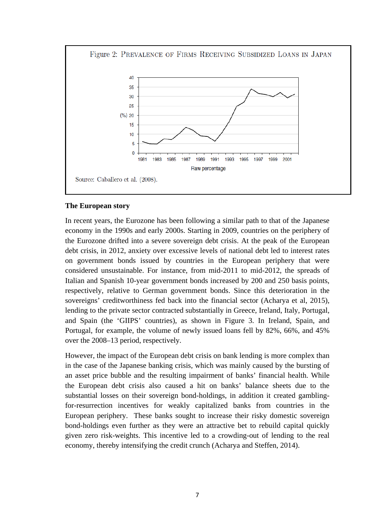

## **The European story**

In recent years, the Eurozone has been following a similar path to that of the Japanese economy in the 1990s and early 2000s. Starting in 2009, countries on the periphery of the Eurozone drifted into a severe sovereign debt crisis. At the peak of the European debt crisis, in 2012, anxiety over excessive levels of national debt led to interest rates on government bonds issued by countries in the European periphery that were considered unsustainable. For instance, from mid-2011 to mid-2012, the spreads of Italian and Spanish 10-year government bonds increased by 200 and 250 basis points, respectively, relative to German government bonds. Since this deterioration in the sovereigns' creditworthiness fed back into the financial sector (Acharya et al, 2015), lending to the private sector contracted substantially in Greece, Ireland, Italy, Portugal, and Spain (the 'GIIPS' countries), as shown in Figure 3. In Ireland, Spain, and Portugal, for example, the volume of newly issued loans fell by 82%, 66%, and 45% over the 2008–13 period, respectively.

However, the impact of the European debt crisis on bank lending is more complex than in the case of the Japanese banking crisis, which was mainly caused by the bursting of an asset price bubble and the resulting impairment of banks' financial health. While the European debt crisis also caused a hit on banks' balance sheets due to the substantial losses on their sovereign bond-holdings, in addition it created gamblingfor-resurrection incentives for weakly capitalized banks from countries in the European periphery. These banks sought to increase their risky domestic sovereign bond-holdings even further as they were an attractive bet to rebuild capital quickly given zero risk-weights. This incentive led to a crowding-out of lending to the real economy, thereby intensifying the credit crunch (Acharya and Steffen, [2014\)](#page-13-4).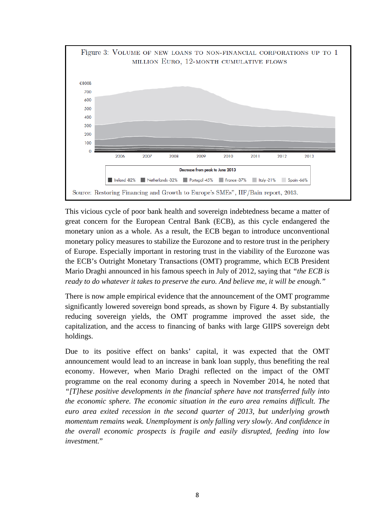

This vicious cycle of poor bank health and sovereign indebtedness became a matter of great concern for the European Central Bank (ECB), as this cycle endangered the monetary union as a whole. As a result, the ECB began to introduce unconventional monetary policy measures to stabilize the Eurozone and to restore trust in the periphery of Europe. Especially important in restoring trust in the viability of the Eurozone was the ECB's Outright Monetary Transactions (OMT) programme, which ECB President Mario Draghi announced in his famous speech in July of 2012, saying that *"the ECB is ready to do whatever it takes to preserve the euro. And believe me, it will be enough."*

There is now ample empirical evidence that the announcement of the OMT programme significantly lowered sovereign bond spreads, as shown by Figure 4. By substantially reducing sovereign yields, the OMT programme improved the asset side, the capitalization, and the access to financing of banks with large GIIPS sovereign debt holdings.

Due to its positive effect on banks' capital, it was expected that the OMT announcement would lead to an increase in bank loan supply, thus benefiting the real economy. However, when Mario Draghi reflected on the impact of the OMT programme on the real economy during a speech in November 2014, he noted that *"[T]hese positive developments in the financial sphere have not transferred fully into the economic sphere. The economic situation in the euro area remains difficult. The euro area exited recession in the second quarter of 2013, but underlying growth momentum remains weak. Unemployment is only falling very slowly. And confidence in the overall economic prospects is fragile and easily disrupted, feeding into low investment.*"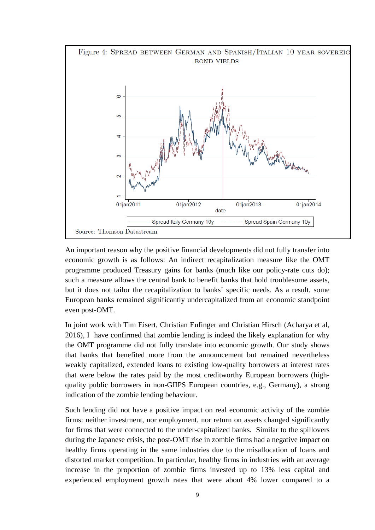

An important reason why the positive financial developments did not fully transfer into economic growth is as follows: An indirect recapitalization measure like the OMT programme produced Treasury gains for banks (much like our policy-rate cuts do); such a measure allows the central bank to benefit banks that hold troublesome assets, but it does not tailor the recapitalization to banks' specific needs. As a result, some European banks remained significantly undercapitalized from an economic standpoint even post-OMT.

In joint work with Tim Eisert, Christian Eufinger and Christian Hirsch (Acharya et al, 2016), I have confirmed that zombie lending is indeed the likely explanation for why the OMT programme did not fully translate into economic growth. Our study shows that banks that benefited more from the announcement but remained nevertheless weakly capitalized, extended loans to existing low-quality borrowers at interest rates that were below the rates paid by the most creditworthy European borrowers (highquality public borrowers in non-GIIPS European countries, e.g., Germany), a strong indication of the zombie lending behaviour.

Such lending did not have a positive impact on real economic activity of the zombie firms: neither investment, nor employment, nor return on assets changed significantly for firms that were connected to the under-capitalized banks. Similar to the spillovers during the Japanese crisis, the post-OMT rise in zombie firms had a negative impact on healthy firms operating in the same industries due to the misallocation of loans and distorted market competition. In particular, healthy firms in industries with an average increase in the proportion of zombie firms invested up to 13% less capital and experienced employment growth rates that were about 4% lower compared to a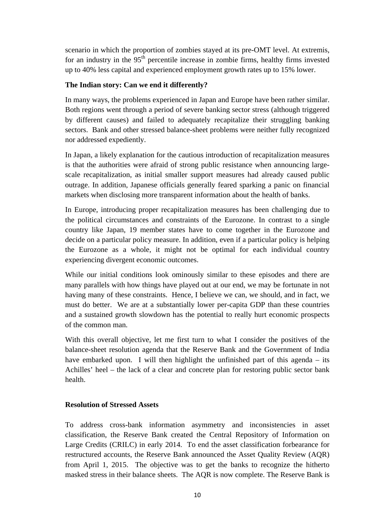scenario in which the proportion of zombies stayed at its pre-OMT level. At extremis, for an industry in the  $95<sup>th</sup>$  percentile increase in zombie firms, healthy firms invested up to 40% less capital and experienced employment growth rates up to 15% lower.

## **The Indian story: Can we end it differently?**

In many ways, the problems experienced in Japan and Europe have been rather similar. Both regions went through a period of severe banking sector stress (although triggered by different causes) and failed to adequately recapitalize their struggling banking sectors. Bank and other stressed balance-sheet problems were neither fully recognized nor addressed expediently.

In Japan, a likely explanation for the cautious introduction of recapitalization measures is that the authorities were afraid of strong public resistance when announcing largescale recapitalization, as initial smaller support measures had already caused public outrage. In addition, Japanese officials generally feared sparking a panic on financial markets when disclosing more transparent information about the health of banks.

In Europe, introducing proper recapitalization measures has been challenging due to the political circumstances and constraints of the Eurozone. In contrast to a single country like Japan, 19 member states have to come together in the Eurozone and decide on a particular policy measure. In addition, even if a particular policy is helping the Eurozone as a whole, it might not be optimal for each individual country experiencing divergent economic outcomes.

While our initial conditions look ominously similar to these episodes and there are many parallels with how things have played out at our end, we may be fortunate in not having many of these constraints. Hence, I believe we can, we should, and in fact, we must do better. We are at a substantially lower per-capita GDP than these countries and a sustained growth slowdown has the potential to really hurt economic prospects of the common man.

With this overall objective, let me first turn to what I consider the positives of the balance-sheet resolution agenda that the Reserve Bank and the Government of India have embarked upon. I will then highlight the unfinished part of this agenda – its Achilles' heel – the lack of a clear and concrete plan for restoring public sector bank health.

## **Resolution of Stressed Assets**

To address cross-bank information asymmetry and inconsistencies in asset classification, the Reserve Bank created the Central Repository of Information on Large Credits (CRILC) in early 2014. To end the asset classification forbearance for restructured accounts, the Reserve Bank announced the Asset Quality Review (AQR) from April 1, 2015. The objective was to get the banks to recognize the hitherto masked stress in their balance sheets. The AQR is now complete. The Reserve Bank is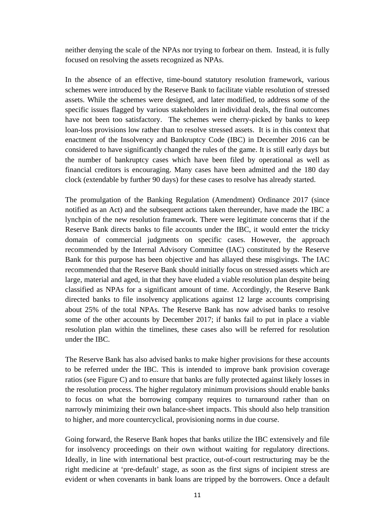neither denying the scale of the NPAs nor trying to forbear on them. Instead, it is fully focused on resolving the assets recognized as NPAs.

In the absence of an effective, time-bound statutory resolution framework, various schemes were introduced by the Reserve Bank to facilitate viable resolution of stressed assets. While the schemes were designed, and later modified, to address some of the specific issues flagged by various stakeholders in individual deals, the final outcomes have not been too satisfactory. The schemes were cherry-picked by banks to keep loan-loss provisions low rather than to resolve stressed assets. It is in this context that enactment of the Insolvency and Bankruptcy Code (IBC) in December 2016 can be considered to have significantly changed the rules of the game. It is still early days but the number of bankruptcy cases which have been filed by operational as well as financial creditors is encouraging. Many cases have been admitted and the 180 day clock (extendable by further 90 days) for these cases to resolve has already started.

The promulgation of the Banking Regulation (Amendment) Ordinance 2017 (since notified as an Act) and the subsequent actions taken thereunder, have made the IBC a lynchpin of the new resolution framework. There were legitimate concerns that if the Reserve Bank directs banks to file accounts under the IBC, it would enter the tricky domain of commercial judgments on specific cases. However, the approach recommended by the Internal Advisory Committee (IAC) constituted by the Reserve Bank for this purpose has been objective and has allayed these misgivings. The IAC recommended that the Reserve Bank should initially focus on stressed assets which are large, material and aged, in that they have eluded a viable resolution plan despite being classified as NPAs for a significant amount of time. Accordingly, the Reserve Bank directed banks to file insolvency applications against 12 large accounts comprising about 25% of the total NPAs. The Reserve Bank has now advised banks to resolve some of the other accounts by December 2017; if banks fail to put in place a viable resolution plan within the timelines, these cases also will be referred for resolution under the IBC.

The Reserve Bank has also advised banks to make higher provisions for these accounts to be referred under the IBC. This is intended to improve bank provision coverage ratios (see Figure C) and to ensure that banks are fully protected against likely losses in the resolution process. The higher regulatory minimum provisions should enable banks to focus on what the borrowing company requires to turnaround rather than on narrowly minimizing their own balance-sheet impacts. This should also help transition to higher, and more countercyclical, provisioning norms in due course.

Going forward, the Reserve Bank hopes that banks utilize the IBC extensively and file for insolvency proceedings on their own without waiting for regulatory directions. Ideally, in line with international best practice, out-of-court restructuring may be the right medicine at 'pre-default' stage, as soon as the first signs of incipient stress are evident or when covenants in bank loans are tripped by the borrowers. Once a default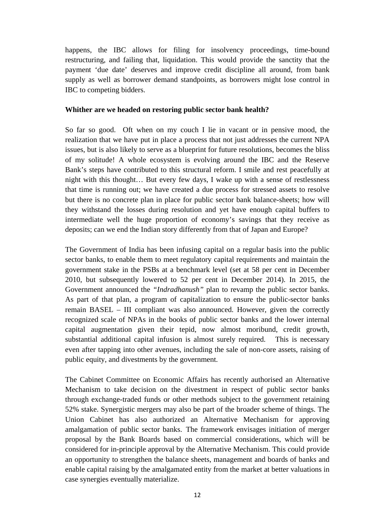happens, the IBC allows for filing for insolvency proceedings, time-bound restructuring, and failing that, liquidation. This would provide the sanctity that the payment 'due date' deserves and improve credit discipline all around, from bank supply as well as borrower demand standpoints, as borrowers might lose control in IBC to competing bidders.

#### **Whither are we headed on restoring public sector bank health?**

So far so good. Oft when on my couch I lie in vacant or in pensive mood, the realization that we have put in place a process that not just addresses the current NPA issues, but is also likely to serve as a blueprint for future resolutions, becomes the bliss of my solitude! A whole ecosystem is evolving around the IBC and the Reserve Bank's steps have contributed to this structural reform. I smile and rest peacefully at night with this thought… But every few days, I wake up with a sense of restlessness that time is running out; we have created a due process for stressed assets to resolve but there is no concrete plan in place for public sector bank balance-sheets; how will they withstand the losses during resolution and yet have enough capital buffers to intermediate well the huge proportion of economy's savings that they receive as deposits; can we end the Indian story differently from that of Japan and Europe?

The Government of India has been infusing capital on a regular basis into the public sector banks, to enable them to meet regulatory capital requirements and maintain the government stake in the PSBs at a benchmark level (set at 58 per cent in December 2010, but subsequently lowered to 52 per cent in December 2014). In 2015, the Government announced the *"Indradhanush"* plan to revamp the public sector banks. As part of that plan, a program of capitalization to ensure the public-sector banks remain BASEL – III compliant was also announced. However, given the correctly recognized scale of NPAs in the books of public sector banks and the lower internal capital augmentation given their tepid, now almost moribund, credit growth, substantial additional capital infusion is almost surely required. This is necessary even after tapping into other avenues, including the sale of non-core assets, raising of public equity, and divestments by the government.

The Cabinet Committee on Economic Affairs has recently authorised an Alternative Mechanism to take decision on the divestment in respect of public sector banks through exchange-traded funds or other methods subject to the government retaining 52% stake. Synergistic mergers may also be part of the broader scheme of things. The Union Cabinet has also authorized an Alternative Mechanism for approving amalgamation of public sector banks. The framework envisages initiation of merger proposal by the Bank Boards based on commercial considerations, which will be considered for in-principle approval by the Alternative Mechanism. This could provide an opportunity to strengthen the balance sheets, management and boards of banks and enable capital raising by the amalgamated entity from the market at better valuations in case synergies eventually materialize.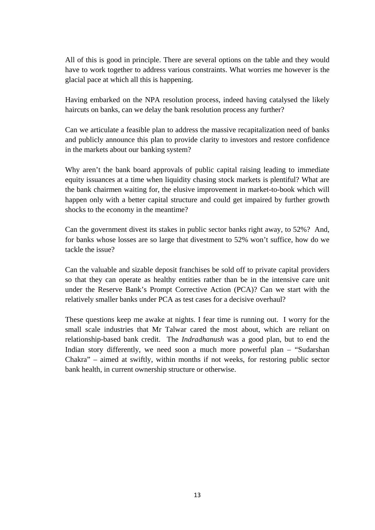All of this is good in principle. There are several options on the table and they would have to work together to address various constraints. What worries me however is the glacial pace at which all this is happening.

Having embarked on the NPA resolution process, indeed having catalysed the likely haircuts on banks, can we delay the bank resolution process any further?

Can we articulate a feasible plan to address the massive recapitalization need of banks and publicly announce this plan to provide clarity to investors and restore confidence in the markets about our banking system?

Why aren't the bank board approvals of public capital raising leading to immediate equity issuances at a time when liquidity chasing stock markets is plentiful? What are the bank chairmen waiting for, the elusive improvement in market-to-book which will happen only with a better capital structure and could get impaired by further growth shocks to the economy in the meantime?

Can the government divest its stakes in public sector banks right away, to 52%? And, for banks whose losses are so large that divestment to 52% won't suffice, how do we tackle the issue?

Can the valuable and sizable deposit franchises be sold off to private capital providers so that they can operate as healthy entities rather than be in the intensive care unit under the Reserve Bank's Prompt Corrective Action (PCA)? Can we start with the relatively smaller banks under PCA as test cases for a decisive overhaul?

These questions keep me awake at nights. I fear time is running out. I worry for the small scale industries that Mr Talwar cared the most about, which are reliant on relationship-based bank credit. The *Indradhanush* was a good plan, but to end the Indian story differently, we need soon a much more powerful plan – "Sudarshan Chakra" – aimed at swiftly, within months if not weeks, for restoring public sector bank health, in current ownership structure or otherwise.